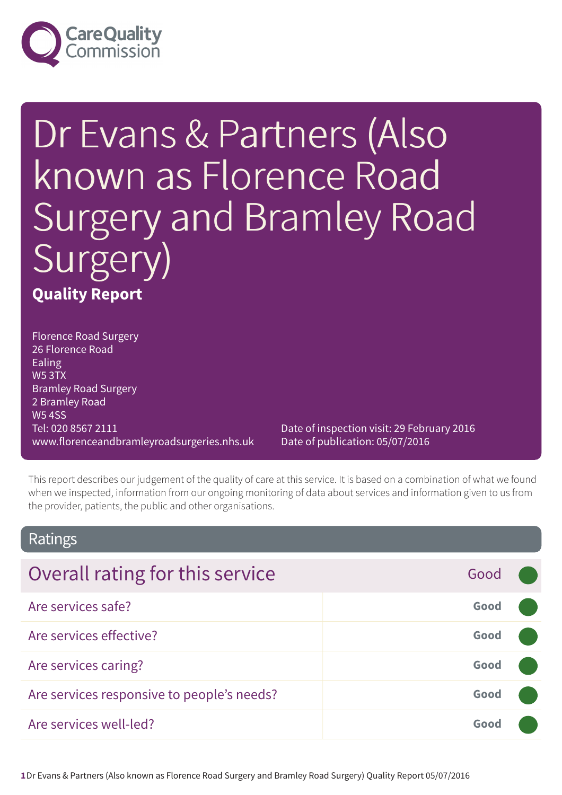

# Dr Evans & Partners (Also known as Florence Road Surgery and Bramley Road Surgery) **Quality Report**

Florence Road Surgery 26 Florence Road Ealing W5 3TX Bramley Road Surgery 2 Bramley Road W5 4SS Tel: 020 8567 2111 www.florenceandbramleyroadsurgeries.nhs.uk

Date of inspection visit: 29 February 2016 Date of publication: 05/07/2016

This report describes our judgement of the quality of care at this service. It is based on a combination of what we found when we inspected, information from our ongoing monitoring of data about services and information given to us from the provider, patients, the public and other organisations.

### Ratings

| Overall rating for this service            | Good |  |
|--------------------------------------------|------|--|
| Are services safe?                         | Good |  |
| Are services effective?                    | Good |  |
| Are services caring?                       | Good |  |
| Are services responsive to people's needs? | Good |  |
| Are services well-led?                     | Good |  |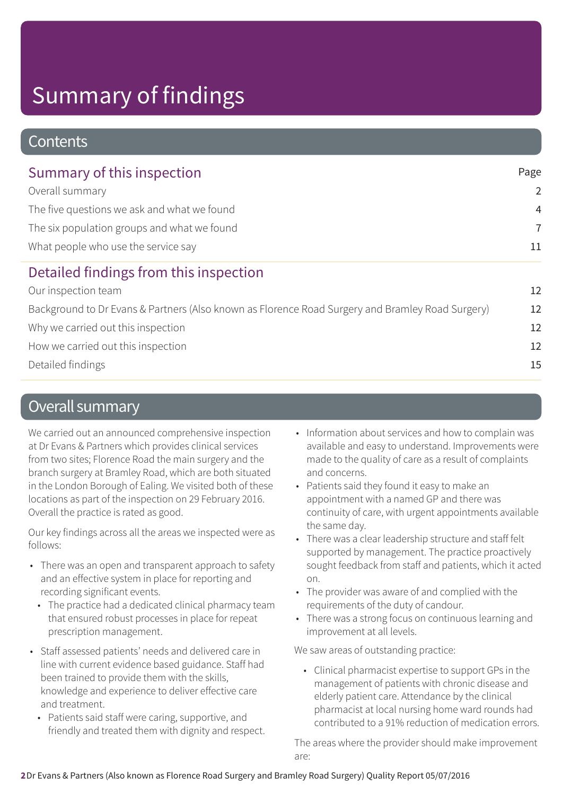### **Contents**

| Summary of this inspection<br>Overall summary<br>The five questions we ask and what we found<br>The six population groups and what we found<br>What people who use the service say |    |                                                                                                  |    |
|------------------------------------------------------------------------------------------------------------------------------------------------------------------------------------|----|--------------------------------------------------------------------------------------------------|----|
|                                                                                                                                                                                    |    | Detailed findings from this inspection                                                           |    |
|                                                                                                                                                                                    |    | Our inspection team                                                                              | 12 |
|                                                                                                                                                                                    |    | Background to Dr Evans & Partners (Also known as Florence Road Surgery and Bramley Road Surgery) | 12 |
|                                                                                                                                                                                    |    | Why we carried out this inspection                                                               | 12 |
| How we carried out this inspection                                                                                                                                                 | 12 |                                                                                                  |    |

Detailed findings 15

### Overall summary

We carried out an announced comprehensive inspection at Dr Evans & Partners which provides clinical services from two sites; Florence Road the main surgery and the branch surgery at Bramley Road, which are both situated in the London Borough of Ealing. We visited both of these locations as part of the inspection on 29 February 2016. Overall the practice is rated as good.

Our key findings across all the areas we inspected were as follows:

- There was an open and transparent approach to safety and an effective system in place for reporting and recording significant events.
	- The practice had a dedicated clinical pharmacy team that ensured robust processes in place for repeat prescription management.
- Staff assessed patients' needs and delivered care in line with current evidence based guidance. Staff had been trained to provide them with the skills, knowledge and experience to deliver effective care and treatment.
	- Patients said staff were caring, supportive, and friendly and treated them with dignity and respect.
- Information about services and how to complain was available and easy to understand. Improvements were made to the quality of care as a result of complaints and concerns.
- Patients said they found it easy to make an appointment with a named GP and there was continuity of care, with urgent appointments available the same day.
- There was a clear leadership structure and staff felt supported by management. The practice proactively sought feedback from staff and patients, which it acted on.
- The provider was aware of and complied with the requirements of the duty of candour.
- There was a strong focus on continuous learning and improvement at all levels.

We saw areas of outstanding practice:

• Clinical pharmacist expertise to support GPs in the management of patients with chronic disease and elderly patient care. Attendance by the clinical pharmacist at local nursing home ward rounds had contributed to a 91% reduction of medication errors.

The areas where the provider should make improvement are: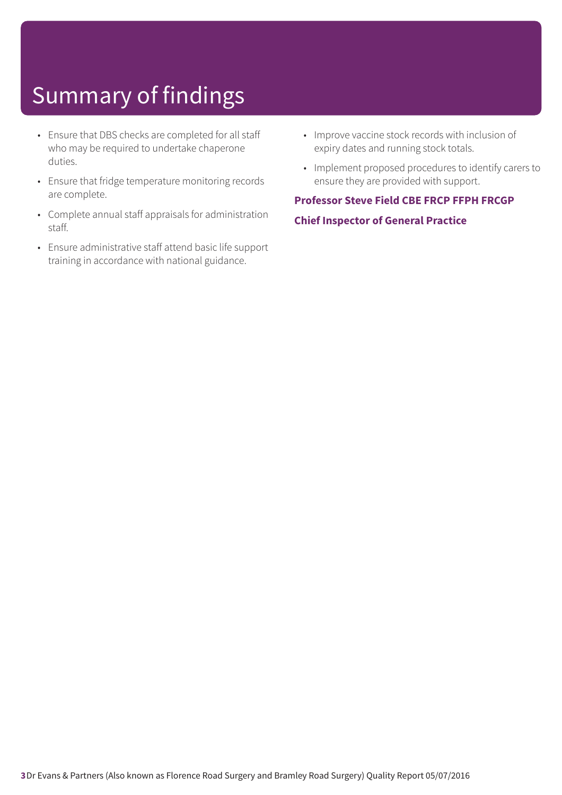- Ensure that DBS checks are completed for all staff who may be required to undertake chaperone duties.
- Ensure that fridge temperature monitoring records are complete.
- Complete annual staff appraisals for administration staff.
- Ensure administrative staff attend basic life support training in accordance with national guidance.
- Improve vaccine stock records with inclusion of expiry dates and running stock totals.
- Implement proposed procedures to identify carers to ensure they are provided with support.

### **Professor Steve Field CBE FRCP FFPH FRCGP**

#### **Chief Inspector of General Practice**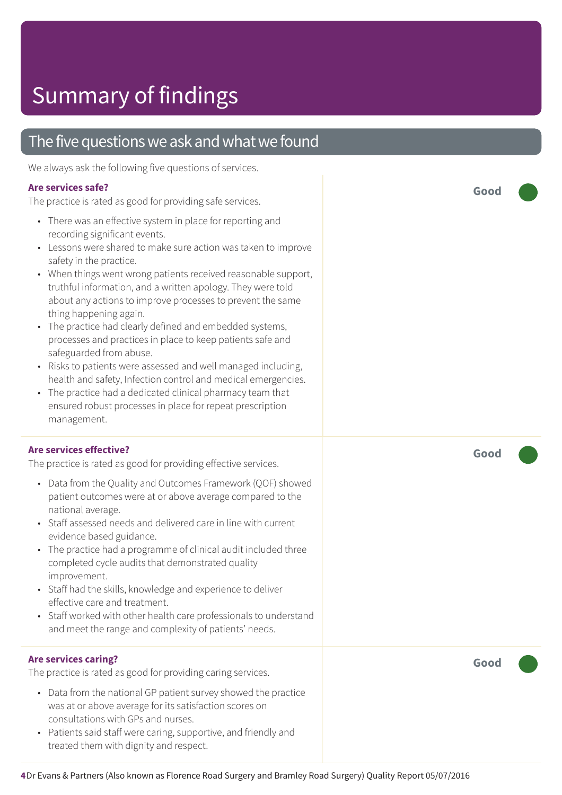### The five questions we ask and what we found

We always ask the following five questions of services.

#### **Are services safe?**

The practice is rated as good for providing safe services.

- There was an effective system in place for reporting and recording significant events.
- Lessons were shared to make sure action was taken to improve safety in the practice.
- When things went wrong patients received reasonable support, truthful information, and a written apology. They were told about any actions to improve processes to prevent the same thing happening again.
- The practice had clearly defined and embedded systems, processes and practices in place to keep patients safe and safeguarded from abuse.
- Risks to patients were assessed and well managed including, health and safety, Infection control and medical emergencies.
- The practice had a dedicated clinical pharmacy team that ensured robust processes in place for repeat prescription management.

#### **Are services effective?**

The practice is rated as good for providing effective services.

- Data from the Quality and Outcomes Framework (QOF) showed patient outcomes were at or above average compared to the national average.
- Staff assessed needs and delivered care in line with current evidence based guidance.
- The practice had a programme of clinical audit included three completed cycle audits that demonstrated quality improvement.
- Staff had the skills, knowledge and experience to deliver effective care and treatment.
- Staff worked with other health care professionals to understand and meet the range and complexity of patients' needs.

#### **Are services caring?**

The practice is rated as good for providing caring services.

- Data from the national GP patient survey showed the practice was at or above average for its satisfaction scores on consultations with GPs and nurses.
- Patients said staff were caring, supportive, and friendly and treated them with dignity and respect.

**Good –––**

**Good –––**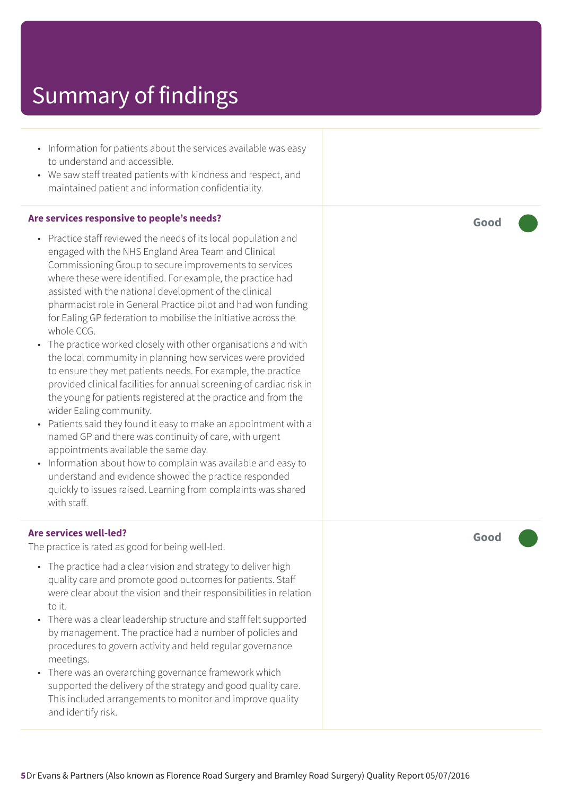- Information for patients about the services available was easy to understand and accessible.
- We saw staff treated patients with kindness and respect, and maintained patient and information confidentiality.

#### **Are services responsive to people's needs?**

- Practice staff reviewed the needs of its local population and engaged with the NHS England Area Team and Clinical Commissioning Group to secure improvements to services where these were identified. For example, the practice had assisted with the national development of the clinical pharmacist role in General Practice pilot and had won funding for Ealing GP federation to mobilise the initiative across the whole CCG.
- The practice worked closely with other organisations and with the local commumity in planning how services were provided to ensure they met patients needs. For example, the practice provided clinical facilities for annual screening of cardiac risk in the young for patients registered at the practice and from the wider Ealing community.
- Patients said they found it easy to make an appointment with a named GP and there was continuity of care, with urgent appointments available the same day.
- Information about how to complain was available and easy to understand and evidence showed the practice responded quickly to issues raised. Learning from complaints was shared with staff.

#### **Are services well-led?**

The practice is rated as good for being well-led.

- The practice had a clear vision and strategy to deliver high quality care and promote good outcomes for patients. Staff were clear about the vision and their responsibilities in relation to it.
- There was a clear leadership structure and staff felt supported by management. The practice had a number of policies and procedures to govern activity and held regular governance meetings.
- There was an overarching governance framework which supported the delivery of the strategy and good quality care. This included arrangements to monitor and improve quality and identify risk.

**Good –––**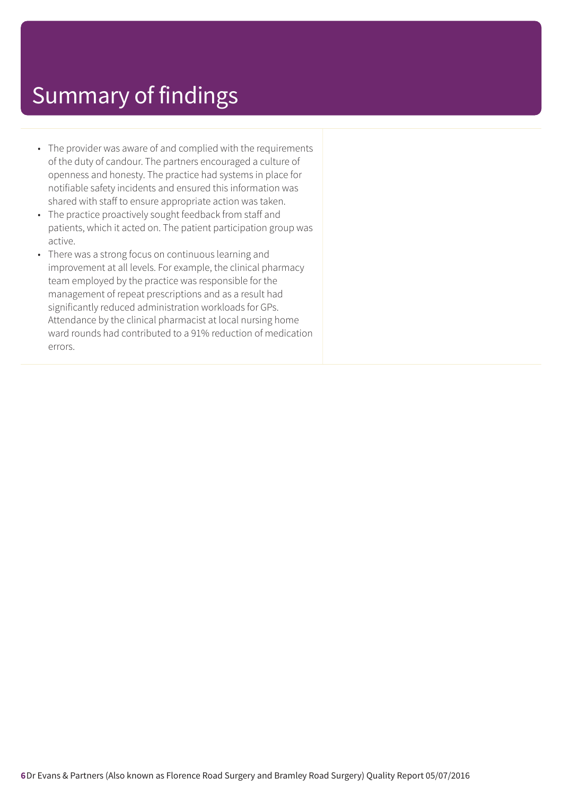- The provider was aware of and complied with the requirements of the duty of candour. The partners encouraged a culture of openness and honesty. The practice had systems in place for notifiable safety incidents and ensured this information was shared with staff to ensure appropriate action was taken.
- The practice proactively sought feedback from staff and patients, which it acted on. The patient participation group was active.
- There was a strong focus on continuous learning and improvement at all levels. For example, the clinical pharmacy team employed by the practice was responsible for the management of repeat prescriptions and as a result had significantly reduced administration workloads for GPs. Attendance by the clinical pharmacist at local nursing home ward rounds had contributed to a 91% reduction of medication errors.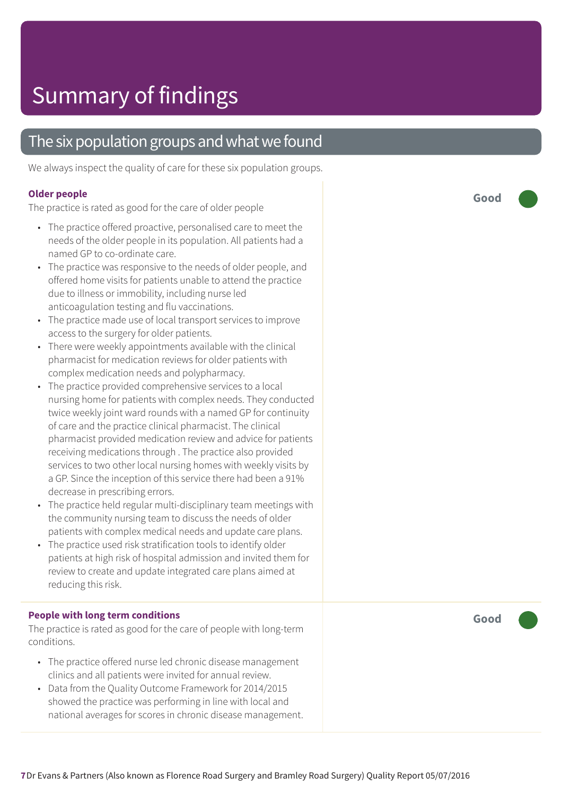### The six population groups and what we found

We always inspect the quality of care for these six population groups.

#### **Older people**

The practice is rated as good for the care of older people

- The practice offered proactive, personalised care to meet the needs of the older people in its population. All patients had a named GP to co-ordinate care.
- The practice was responsive to the needs of older people, and offered home visits for patients unable to attend the practice due to illness or immobility, including nurse led anticoagulation testing and flu vaccinations.
- The practice made use of local transport services to improve access to the surgery for older patients.
- There were weekly appointments available with the clinical pharmacist for medication reviews for older patients with complex medication needs and polypharmacy.
- The practice provided comprehensive services to a local nursing home for patients with complex needs. They conducted twice weekly joint ward rounds with a named GP for continuity of care and the practice clinical pharmacist. The clinical pharmacist provided medication review and advice for patients receiving medications through . The practice also provided services to two other local nursing homes with weekly visits by a GP. Since the inception of this service there had been a 91% decrease in prescribing errors.
- The practice held regular multi-disciplinary team meetings with the community nursing team to discuss the needs of older patients with complex medical needs and update care plans.
- The practice used risk stratification tools to identify older patients at high risk of hospital admission and invited them for review to create and update integrated care plans aimed at reducing this risk.

#### **People with long term conditions**

The practice is rated as good for the care of people with long-term conditions.

- The practice offered nurse led chronic disease management clinics and all patients were invited for annual review.
- Data from the Quality Outcome Framework for 2014/2015 showed the practice was performing in line with local and national averages for scores in chronic disease management.

**Good –––**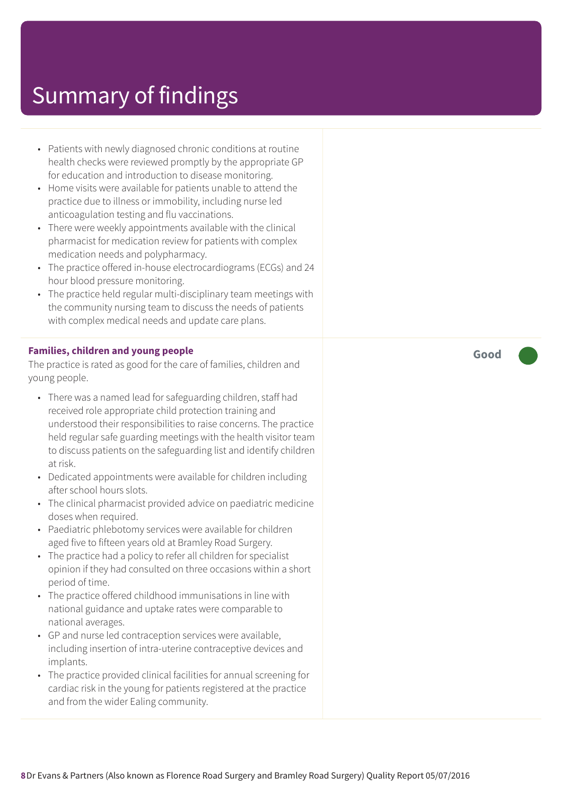- Patients with newly diagnosed chronic conditions at routine health checks were reviewed promptly by the appropriate GP for education and introduction to disease monitoring.
- Home visits were available for patients unable to attend the practice due to illness or immobility, including nurse led anticoagulation testing and flu vaccinations.
- There were weekly appointments available with the clinical pharmacist for medication review for patients with complex medication needs and polypharmacy.
- The practice offered in-house electrocardiograms (ECGs) and 24 hour blood pressure monitoring.
- The practice held regular multi-disciplinary team meetings with the community nursing team to discuss the needs of patients with complex medical needs and update care plans.

#### **Families, children and young people**

The practice is rated as good for the care of families, children and young people.

- There was a named lead for safeguarding children, staff had received role appropriate child protection training and understood their responsibilities to raise concerns. The practice held regular safe guarding meetings with the health visitor team to discuss patients on the safeguarding list and identify children at risk.
- Dedicated appointments were available for children including after school hours slots.
- The clinical pharmacist provided advice on paediatric medicine doses when required.
- Paediatric phlebotomy services were available for children aged five to fifteen years old at Bramley Road Surgery.
- The practice had a policy to refer all children for specialist opinion if they had consulted on three occasions within a short period of time.
- The practice offered childhood immunisations in line with national guidance and uptake rates were comparable to national averages.
- GP and nurse led contraception services were available, including insertion of intra-uterine contraceptive devices and implants.
- The practice provided clinical facilities for annual screening for cardiac risk in the young for patients registered at the practice and from the wider Ealing community.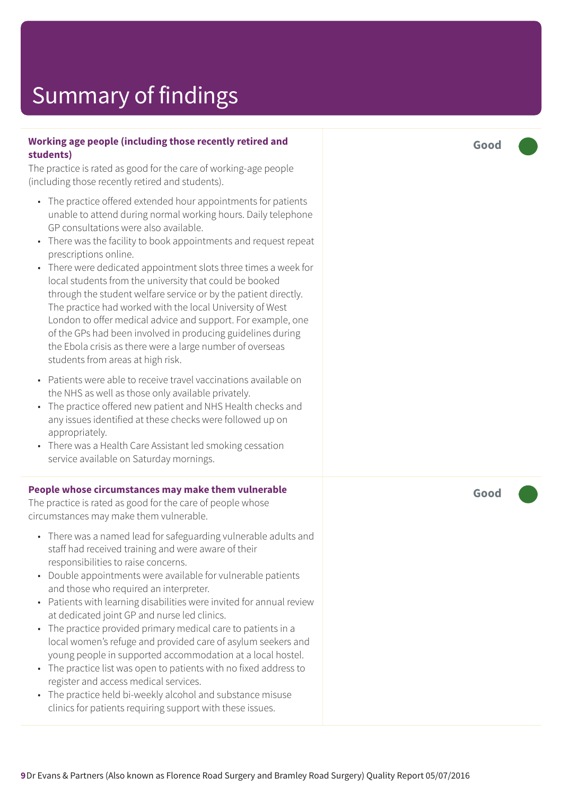#### **Working age people (including those recently retired and students)**

The practice is rated as good for the care of working-age people (including those recently retired and students).

- The practice offered extended hour appointments for patients unable to attend during normal working hours. Daily telephone GP consultations were also available.
- There was the facility to book appointments and request repeat prescriptions online.
- There were dedicated appointment slots three times a week for local students from the university that could be booked through the student welfare service or by the patient directly. The practice had worked with the local University of West London to offer medical advice and support. For example, one of the GPs had been involved in producing guidelines during the Ebola crisis as there were a large number of overseas students from areas at high risk.
- Patients were able to receive travel vaccinations available on the NHS as well as those only available privately.
- The practice offered new patient and NHS Health checks and any issues identified at these checks were followed up on appropriately.
- There was a Health Care Assistant led smoking cessation service available on Saturday mornings.

#### **People whose circumstances may make them vulnerable**

The practice is rated as good for the care of people whose circumstances may make them vulnerable.

- There was a named lead for safeguarding vulnerable adults and staff had received training and were aware of their responsibilities to raise concerns.
- Double appointments were available for vulnerable patients and those who required an interpreter.
- Patients with learning disabilities were invited for annual review at dedicated joint GP and nurse led clinics.
- The practice provided primary medical care to patients in a local women's refuge and provided care of asylum seekers and young people in supported accommodation at a local hostel.
- The practice list was open to patients with no fixed address to register and access medical services.
- The practice held bi-weekly alcohol and substance misuse clinics for patients requiring support with these issues.

**Good –––**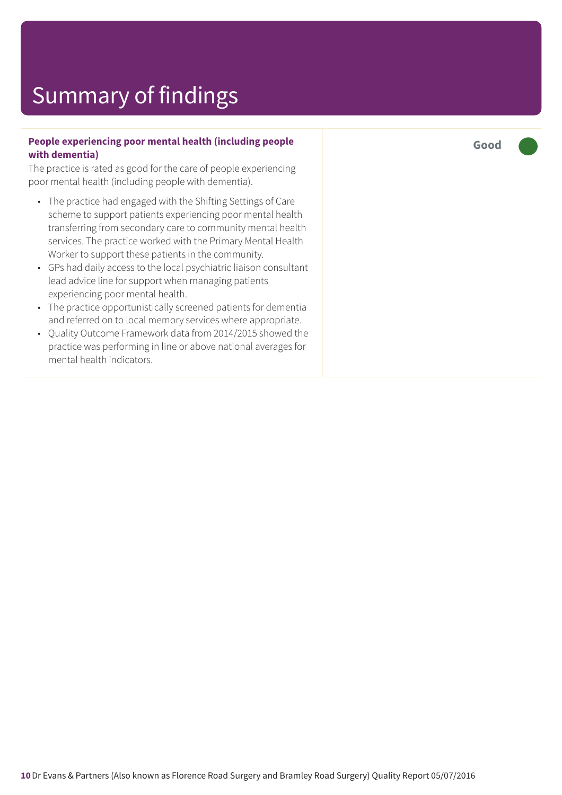#### **People experiencing poor mental health (including people with dementia)**

The practice is rated as good for the care of people experiencing poor mental health (including people with dementia).

- The practice had engaged with the Shifting Settings of Care scheme to support patients experiencing poor mental health transferring from secondary care to community mental health services. The practice worked with the Primary Mental Health Worker to support these patients in the community.
- GPs had daily access to the local psychiatric liaison consultant lead advice line for support when managing patients experiencing poor mental health.
- The practice opportunistically screened patients for dementia and referred on to local memory services where appropriate.
- Quality Outcome Framework data from 2014/2015 showed the practice was performing in line or above national averages for mental health indicators.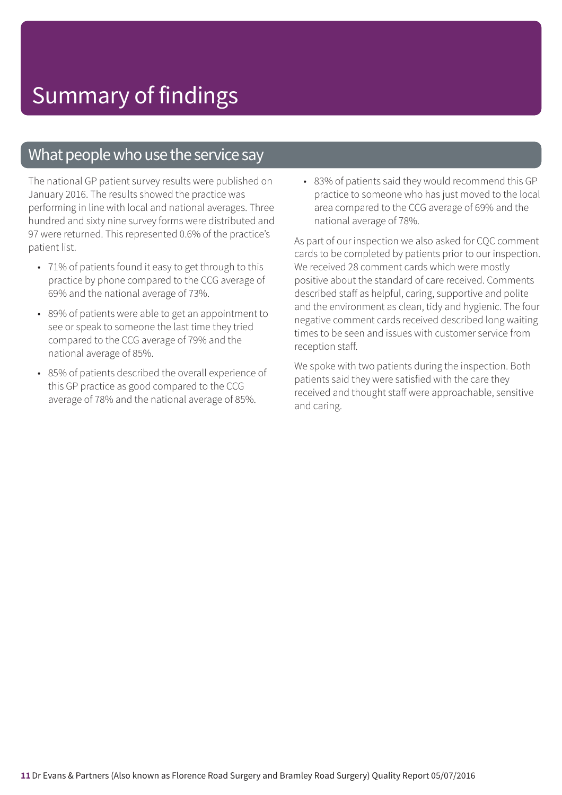### What people who use the service say

The national GP patient survey results were published on January 2016. The results showed the practice was performing in line with local and national averages. Three hundred and sixty nine survey forms were distributed and 97 were returned. This represented 0.6% of the practice's patient list.

- 71% of patients found it easy to get through to this practice by phone compared to the CCG average of 69% and the national average of 73%.
- 89% of patients were able to get an appointment to see or speak to someone the last time they tried compared to the CCG average of 79% and the national average of 85%.
- 85% of patients described the overall experience of this GP practice as good compared to the CCG average of 78% and the national average of 85%.

• 83% of patients said they would recommend this GP practice to someone who has just moved to the local area compared to the CCG average of 69% and the national average of 78%.

As part of our inspection we also asked for CQC comment cards to be completed by patients prior to our inspection. We received 28 comment cards which were mostly positive about the standard of care received. Comments described staff as helpful, caring, supportive and polite and the environment as clean, tidy and hygienic. The four negative comment cards received described long waiting times to be seen and issues with customer service from reception staff.

We spoke with two patients during the inspection. Both patients said they were satisfied with the care they received and thought staff were approachable, sensitive and caring.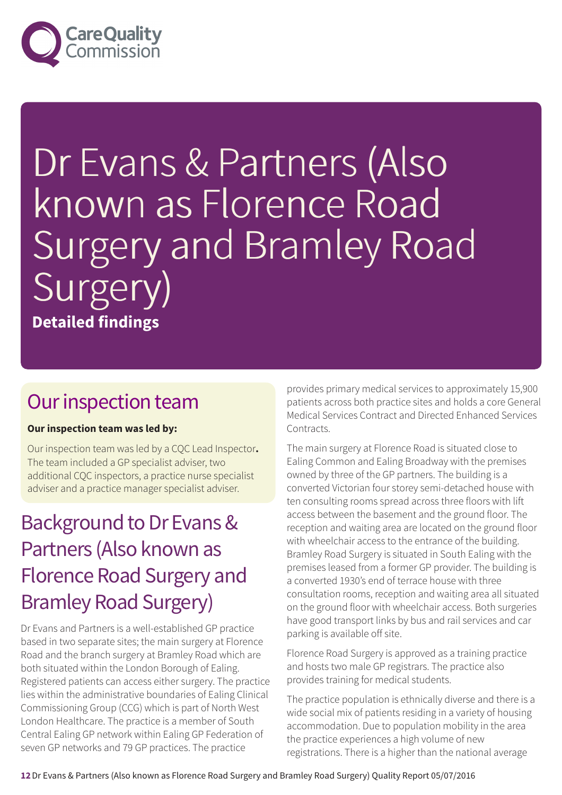

# Dr Evans & Partners (Also known as Florence Road Surgery and Bramley Road Surgery) **Detailed findings**

### Our inspection team

#### **Our inspection team was led by:**

Our inspection team was led by a CQC Lead Inspector**.** The team included a GP specialist adviser, two additional CQC inspectors, a practice nurse specialist adviser and a practice manager specialist adviser.

### Background to Dr Evans & Partners (Also known as Florence Road Surgery and **Bramley Road Surgery)**

Dr Evans and Partners is a well-established GP practice based in two separate sites; the main surgery at Florence Road and the branch surgery at Bramley Road which are both situated within the London Borough of Ealing. Registered patients can access either surgery. The practice lies within the administrative boundaries of Ealing Clinical Commissioning Group (CCG) which is part of North West London Healthcare. The practice is a member of South Central Ealing GP network within Ealing GP Federation of seven GP networks and 79 GP practices. The practice

provides primary medical services to approximately 15,900 patients across both practice sites and holds a core General Medical Services Contract and Directed Enhanced Services Contracts.

The main surgery at Florence Road is situated close to Ealing Common and Ealing Broadway with the premises owned by three of the GP partners. The building is a converted Victorian four storey semi-detached house with ten consulting rooms spread across three floors with lift access between the basement and the ground floor. The reception and waiting area are located on the ground floor with wheelchair access to the entrance of the building. Bramley Road Surgery is situated in South Ealing with the premises leased from a former GP provider. The building is a converted 1930's end of terrace house with three consultation rooms, reception and waiting area all situated on the ground floor with wheelchair access. Both surgeries have good transport links by bus and rail services and car parking is available off site.

Florence Road Surgery is approved as a training practice and hosts two male GP registrars. The practice also provides training for medical students.

The practice population is ethnically diverse and there is a wide social mix of patients residing in a variety of housing accommodation. Due to population mobility in the area the practice experiences a high volume of new registrations. There is a higher than the national average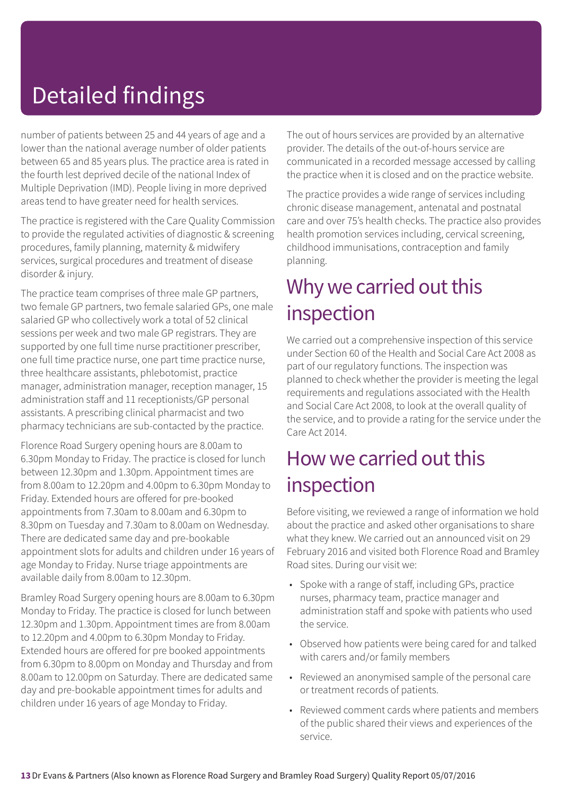## Detailed findings

number of patients between 25 and 44 years of age and a lower than the national average number of older patients between 65 and 85 years plus. The practice area is rated in the fourth lest deprived decile of the national Index of Multiple Deprivation (IMD). People living in more deprived areas tend to have greater need for health services.

The practice is registered with the Care Quality Commission to provide the regulated activities of diagnostic & screening procedures, family planning, maternity & midwifery services, surgical procedures and treatment of disease disorder & injury.

The practice team comprises of three male GP partners, two female GP partners, two female salaried GPs, one male salaried GP who collectively work a total of 52 clinical sessions per week and two male GP registrars. They are supported by one full time nurse practitioner prescriber, one full time practice nurse, one part time practice nurse, three healthcare assistants, phlebotomist, practice manager, administration manager, reception manager, 15 administration staff and 11 receptionists/GP personal assistants. A prescribing clinical pharmacist and two pharmacy technicians are sub-contacted by the practice.

Florence Road Surgery opening hours are 8.00am to 6.30pm Monday to Friday. The practice is closed for lunch between 12.30pm and 1.30pm. Appointment times are from 8.00am to 12.20pm and 4.00pm to 6.30pm Monday to Friday. Extended hours are offered for pre-booked appointments from 7.30am to 8.00am and 6.30pm to 8.30pm on Tuesday and 7.30am to 8.00am on Wednesday. There are dedicated same day and pre-bookable appointment slots for adults and children under 16 years of age Monday to Friday. Nurse triage appointments are available daily from 8.00am to 12.30pm.

Bramley Road Surgery opening hours are 8.00am to 6.30pm Monday to Friday. The practice is closed for lunch between 12.30pm and 1.30pm. Appointment times are from 8.00am to 12.20pm and 4.00pm to 6.30pm Monday to Friday. Extended hours are offered for pre booked appointments from 6.30pm to 8.00pm on Monday and Thursday and from 8.00am to 12.00pm on Saturday. There are dedicated same day and pre-bookable appointment times for adults and children under 16 years of age Monday to Friday.

The out of hours services are provided by an alternative provider. The details of the out-of-hours service are communicated in a recorded message accessed by calling the practice when it is closed and on the practice website.

The practice provides a wide range of services including chronic disease management, antenatal and postnatal care and over 75's health checks. The practice also provides health promotion services including, cervical screening, childhood immunisations, contraception and family planning.

### Why we carried out this inspection

We carried out a comprehensive inspection of this service under Section 60 of the Health and Social Care Act 2008 as part of our regulatory functions. The inspection was planned to check whether the provider is meeting the legal requirements and regulations associated with the Health and Social Care Act 2008, to look at the overall quality of the service, and to provide a rating for the service under the Care Act 2014.

### How we carried out this inspection

Before visiting, we reviewed a range of information we hold about the practice and asked other organisations to share what they knew. We carried out an announced visit on 29 February 2016 and visited both Florence Road and Bramley Road sites. During our visit we:

- Spoke with a range of staff, including GPs, practice nurses, pharmacy team, practice manager and administration staff and spoke with patients who used the service.
- Observed how patients were being cared for and talked with carers and/or family members
- Reviewed an anonymised sample of the personal care or treatment records of patients.
- Reviewed comment cards where patients and members of the public shared their views and experiences of the service.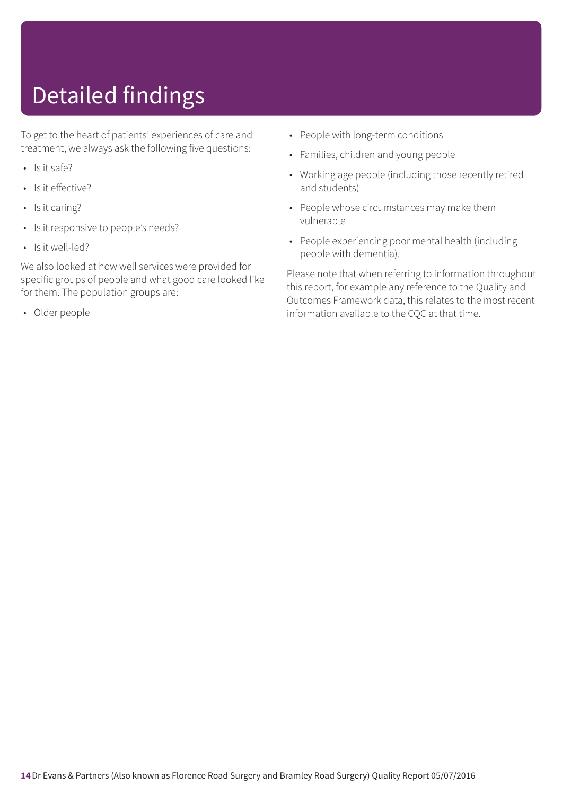## Detailed findings

To get to the heart of patients' experiences of care and treatment, we always ask the following five questions:

- Is it safe?
- Is it effective?
- Is it caring?
- Is it responsive to people's needs?
- Is it well-led?

We also looked at how well services were provided for specific groups of people and what good care looked like for them. The population groups are:

• Older people

- People with long-term conditions
- Families, children and young people
- Working age people (including those recently retired and students)
- People whose circumstances may make them vulnerable
- People experiencing poor mental health (including people with dementia).

Please note that when referring to information throughout this report, for example any reference to the Quality and Outcomes Framework data, this relates to the most recent information available to the CQC at that time.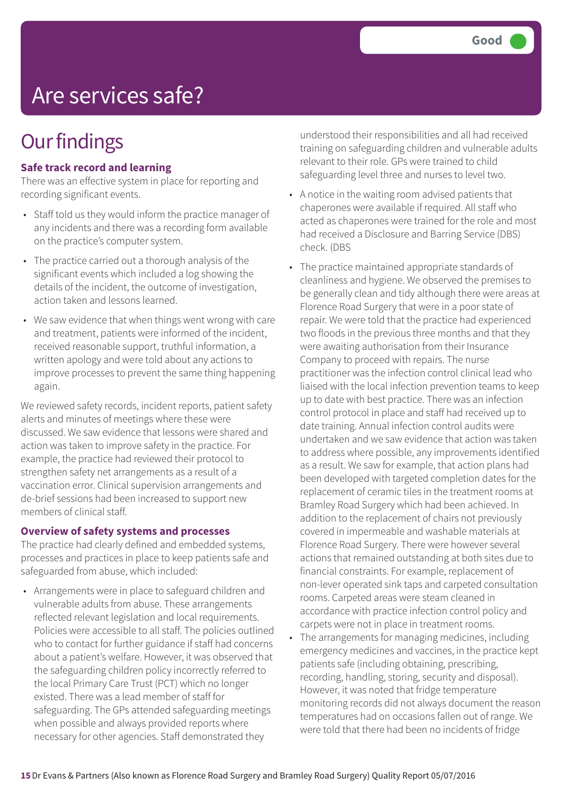### Are services safe?

### **Our findings**

#### **Safe track record and learning**

There was an effective system in place for reporting and recording significant events.

- Staff told us they would inform the practice manager of any incidents and there was a recording form available on the practice's computer system.
- The practice carried out a thorough analysis of the significant events which included a log showing the details of the incident, the outcome of investigation, action taken and lessons learned.
- We saw evidence that when things went wrong with care and treatment, patients were informed of the incident, received reasonable support, truthful information, a written apology and were told about any actions to improve processes to prevent the same thing happening again.

We reviewed safety records, incident reports, patient safety alerts and minutes of meetings where these were discussed. We saw evidence that lessons were shared and action was taken to improve safety in the practice. For example, the practice had reviewed their protocol to strengthen safety net arrangements as a result of a vaccination error. Clinical supervision arrangements and de-brief sessions had been increased to support new members of clinical staff.

#### **Overview of safety systems and processes**

The practice had clearly defined and embedded systems, processes and practices in place to keep patients safe and safeguarded from abuse, which included:

• Arrangements were in place to safeguard children and vulnerable adults from abuse. These arrangements reflected relevant legislation and local requirements. Policies were accessible to all staff. The policies outlined who to contact for further guidance if staff had concerns about a patient's welfare. However, it was observed that the safeguarding children policy incorrectly referred to the local Primary Care Trust (PCT) which no longer existed. There was a lead member of staff for safeguarding. The GPs attended safeguarding meetings when possible and always provided reports where necessary for other agencies. Staff demonstrated they

understood their responsibilities and all had received training on safeguarding children and vulnerable adults relevant to their role. GPs were trained to child safeguarding level three and nurses to level two.

- A notice in the waiting room advised patients that chaperones were available if required. All staff who acted as chaperones were trained for the role and most had received a Disclosure and Barring Service (DBS) check. (DBS
- The practice maintained appropriate standards of cleanliness and hygiene. We observed the premises to be generally clean and tidy although there were areas at Florence Road Surgery that were in a poor state of repair. We were told that the practice had experienced two floods in the previous three months and that they were awaiting authorisation from their Insurance Company to proceed with repairs. The nurse practitioner was the infection control clinical lead who liaised with the local infection prevention teams to keep up to date with best practice. There was an infection control protocol in place and staff had received up to date training. Annual infection control audits were undertaken and we saw evidence that action was taken to address where possible, any improvements identified as a result. We saw for example, that action plans had been developed with targeted completion dates for the replacement of ceramic tiles in the treatment rooms at Bramley Road Surgery which had been achieved. In addition to the replacement of chairs not previously covered in impermeable and washable materials at Florence Road Surgery. There were however several actions that remained outstanding at both sites due to financial constraints. For example, replacement of non-lever operated sink taps and carpeted consultation rooms. Carpeted areas were steam cleaned in accordance with practice infection control policy and carpets were not in place in treatment rooms.
- The arrangements for managing medicines, including emergency medicines and vaccines, in the practice kept patients safe (including obtaining, prescribing, recording, handling, storing, security and disposal). However, it was noted that fridge temperature monitoring records did not always document the reason temperatures had on occasions fallen out of range. We were told that there had been no incidents of fridge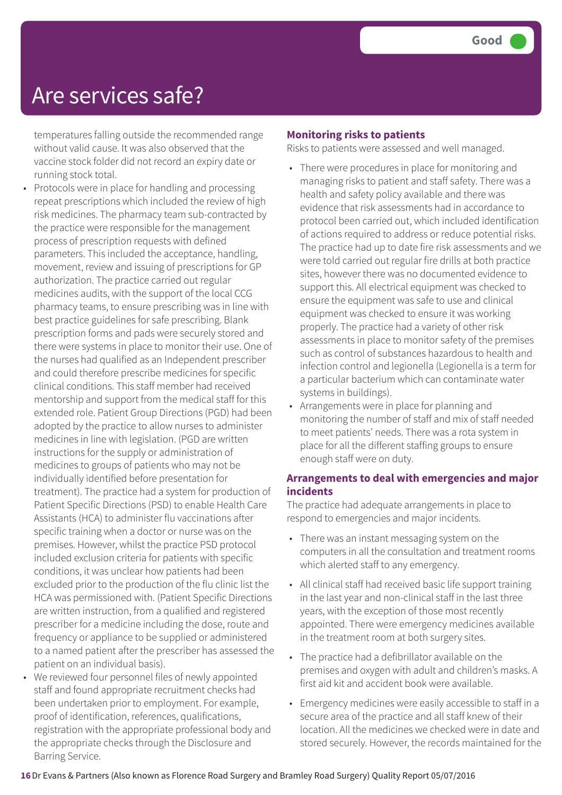### Are services safe?

temperatures falling outside the recommended range without valid cause. It was also observed that the vaccine stock folder did not record an expiry date or running stock total.

- Protocols were in place for handling and processing repeat prescriptions which included the review of high risk medicines. The pharmacy team sub-contracted by the practice were responsible for the management process of prescription requests with defined parameters. This included the acceptance, handling, movement, review and issuing of prescriptions for GP authorization. The practice carried out regular medicines audits, with the support of the local CCG pharmacy teams, to ensure prescribing was in line with best practice guidelines for safe prescribing. Blank prescription forms and pads were securely stored and there were systems in place to monitor their use. One of the nurses had qualified as an Independent prescriber and could therefore prescribe medicines for specific clinical conditions. This staff member had received mentorship and support from the medical staff for this extended role. Patient Group Directions (PGD) had been adopted by the practice to allow nurses to administer medicines in line with legislation. (PGD are written instructions for the supply or administration of medicines to groups of patients who may not be individually identified before presentation for treatment). The practice had a system for production of Patient Specific Directions (PSD) to enable Health Care Assistants (HCA) to administer flu vaccinations after specific training when a doctor or nurse was on the premises. However, whilst the practice PSD protocol included exclusion criteria for patients with specific conditions, it was unclear how patients had been excluded prior to the production of the flu clinic list the HCA was permissioned with. (Patient Specific Directions are written instruction, from a qualified and registered prescriber for a medicine including the dose, route and frequency or appliance to be supplied or administered to a named patient after the prescriber has assessed the patient on an individual basis).
- We reviewed four personnel files of newly appointed staff and found appropriate recruitment checks had been undertaken prior to employment. For example, proof of identification, references, qualifications, registration with the appropriate professional body and the appropriate checks through the Disclosure and Barring Service.

#### **Monitoring risks to patients**

Risks to patients were assessed and well managed.

- There were procedures in place for monitoring and managing risks to patient and staff safety. There was a health and safety policy available and there was evidence that risk assessments had in accordance to protocol been carried out, which included identification of actions required to address or reduce potential risks. The practice had up to date fire risk assessments and we were told carried out regular fire drills at both practice sites, however there was no documented evidence to support this. All electrical equipment was checked to ensure the equipment was safe to use and clinical equipment was checked to ensure it was working properly. The practice had a variety of other risk assessments in place to monitor safety of the premises such as control of substances hazardous to health and infection control and legionella (Legionella is a term for a particular bacterium which can contaminate water systems in buildings).
- Arrangements were in place for planning and monitoring the number of staff and mix of staff needed to meet patients' needs. There was a rota system in place for all the different staffing groups to ensure enough staff were on duty.

#### **Arrangements to deal with emergencies and major incidents**

The practice had adequate arrangements in place to respond to emergencies and major incidents.

- There was an instant messaging system on the computers in all the consultation and treatment rooms which alerted staff to any emergency.
- All clinical staff had received basic life support training in the last year and non-clinical staff in the last three years, with the exception of those most recently appointed. There were emergency medicines available in the treatment room at both surgery sites.
- The practice had a defibrillator available on the premises and oxygen with adult and children's masks. A first aid kit and accident book were available.
- Emergency medicines were easily accessible to staff in a secure area of the practice and all staff knew of their location. All the medicines we checked were in date and stored securely. However, the records maintained for the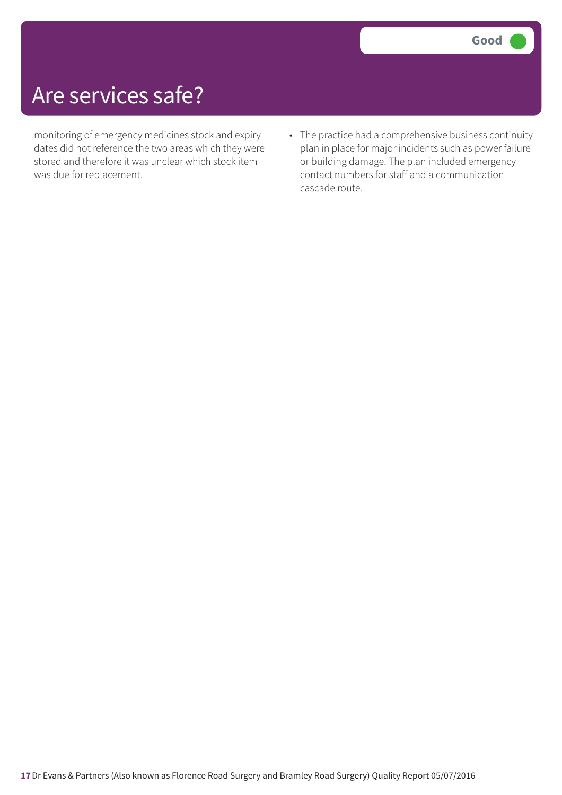### Are services safe?

monitoring of emergency medicines stock and expiry dates did not reference the two areas which they were stored and therefore it was unclear which stock item was due for replacement.

• The practice had a comprehensive business continuity plan in place for major incidents such as power failure or building damage. The plan included emergency contact numbers for staff and a communication cascade route.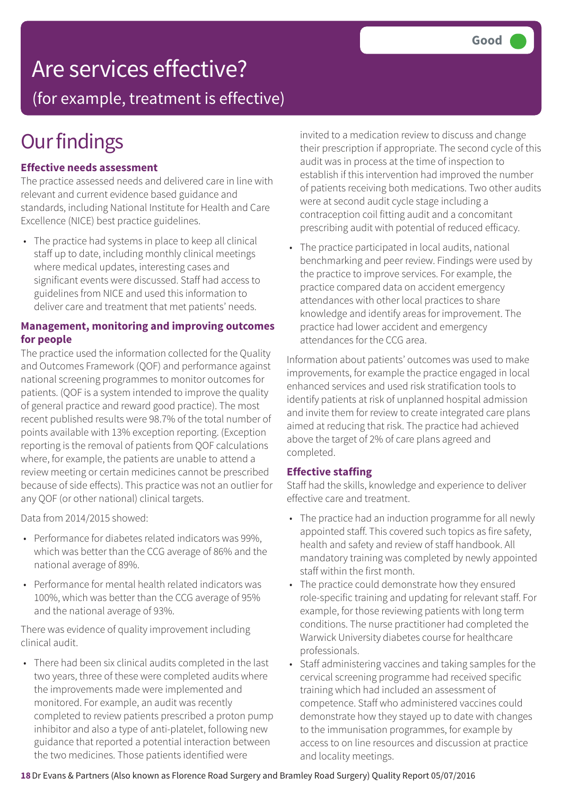### Are services effective?

(for example, treatment is effective)

### **Our findings**

#### **Effective needs assessment**

The practice assessed needs and delivered care in line with relevant and current evidence based guidance and standards, including National Institute for Health and Care Excellence (NICE) best practice guidelines.

• The practice had systems in place to keep all clinical staff up to date, including monthly clinical meetings where medical updates, interesting cases and significant events were discussed. Staff had access to guidelines from NICE and used this information to deliver care and treatment that met patients' needs.

#### **Management, monitoring and improving outcomes for people**

The practice used the information collected for the Quality and Outcomes Framework (QOF) and performance against national screening programmes to monitor outcomes for patients. (QOF is a system intended to improve the quality of general practice and reward good practice). The most recent published results were 98.7% of the total number of points available with 13% exception reporting. (Exception reporting is the removal of patients from QOF calculations where, for example, the patients are unable to attend a review meeting or certain medicines cannot be prescribed because of side effects). This practice was not an outlier for any QOF (or other national) clinical targets.

Data from 2014/2015 showed:

- Performance for diabetes related indicators was 99%, which was better than the CCG average of 86% and the national average of 89%.
- Performance for mental health related indicators was 100%, which was better than the CCG average of 95% and the national average of 93%.

There was evidence of quality improvement including clinical audit.

• There had been six clinical audits completed in the last two years, three of these were completed audits where the improvements made were implemented and monitored. For example, an audit was recently completed to review patients prescribed a proton pump inhibitor and also a type of anti-platelet, following new guidance that reported a potential interaction between the two medicines. Those patients identified were

invited to a medication review to discuss and change their prescription if appropriate. The second cycle of this audit was in process at the time of inspection to establish if this intervention had improved the number of patients receiving both medications. Two other audits were at second audit cycle stage including a contraception coil fitting audit and a concomitant prescribing audit with potential of reduced efficacy.

• The practice participated in local audits, national benchmarking and peer review. Findings were used by the practice to improve services. For example, the practice compared data on accident emergency attendances with other local practices to share knowledge and identify areas for improvement. The practice had lower accident and emergency attendances for the CCG area.

Information about patients' outcomes was used to make improvements, for example the practice engaged in local enhanced services and used risk stratification tools to identify patients at risk of unplanned hospital admission and invite them for review to create integrated care plans aimed at reducing that risk. The practice had achieved above the target of 2% of care plans agreed and completed.

#### **Effective staffing**

Staff had the skills, knowledge and experience to deliver effective care and treatment.

- The practice had an induction programme for all newly appointed staff. This covered such topics as fire safety, health and safety and review of staff handbook. All mandatory training was completed by newly appointed staff within the first month.
- The practice could demonstrate how they ensured role-specific training and updating for relevant staff. For example, for those reviewing patients with long term conditions. The nurse practitioner had completed the Warwick University diabetes course for healthcare professionals.
- Staff administering vaccines and taking samples for the cervical screening programme had received specific training which had included an assessment of competence. Staff who administered vaccines could demonstrate how they stayed up to date with changes to the immunisation programmes, for example by access to on line resources and discussion at practice and locality meetings.

**18**Dr Evans & Partners (Also known as Florence Road Surgery and Bramley Road Surgery) Quality Report 05/07/2016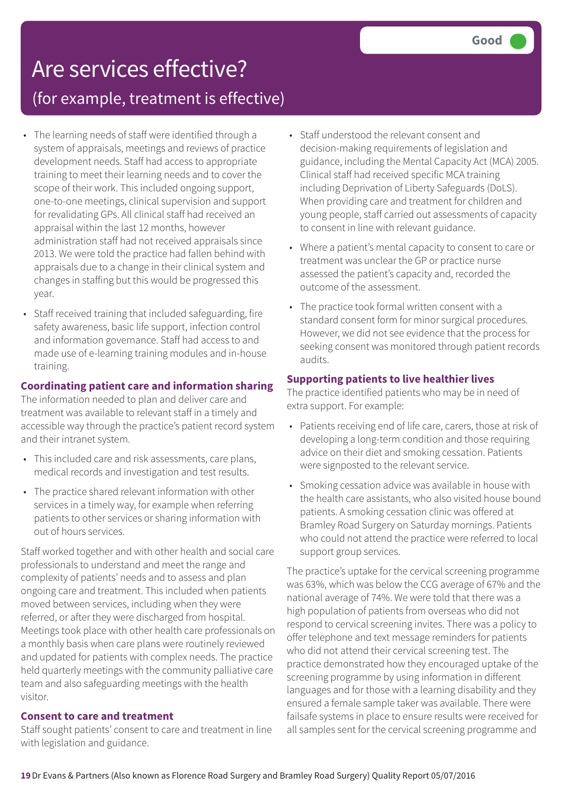## Are services effective?

(for example, treatment is effective)

- The learning needs of staff were identified through a system of appraisals, meetings and reviews of practice development needs. Staff had access to appropriate training to meet their learning needs and to cover the scope of their work. This included ongoing support, one-to-one meetings, clinical supervision and support for revalidating GPs. All clinical staff had received an appraisal within the last 12 months, however administration staff had not received appraisals since 2013. We were told the practice had fallen behind with appraisals due to a change in their clinical system and changes in staffing but this would be progressed this year.
- Staff received training that included safeguarding, fire safety awareness, basic life support, infection control and information governance. Staff had access to and made use of e-learning training modules and in-house training.

#### **Coordinating patient care and information sharing**

The information needed to plan and deliver care and treatment was available to relevant staff in a timely and accessible way through the practice's patient record system and their intranet system.

- This included care and risk assessments, care plans, medical records and investigation and test results.
- The practice shared relevant information with other services in a timely way, for example when referring patients to other services or sharing information with out of hours services.

Staff worked together and with other health and social care professionals to understand and meet the range and complexity of patients' needs and to assess and plan ongoing care and treatment. This included when patients moved between services, including when they were referred, or after they were discharged from hospital. Meetings took place with other health care professionals on a monthly basis when care plans were routinely reviewed and updated for patients with complex needs. The practice held quarterly meetings with the community palliative care team and also safeguarding meetings with the health visitor.

#### **Consent to care and treatment**

Staff sought patients' consent to care and treatment in line with legislation and guidance.

- Staff understood the relevant consent and decision-making requirements of legislation and guidance, including the Mental Capacity Act (MCA) 2005. Clinical staff had received specific MCA training including Deprivation of Liberty Safeguards (DoLS). When providing care and treatment for children and young people, staff carried out assessments of capacity to consent in line with relevant guidance.
- Where a patient's mental capacity to consent to care or treatment was unclear the GP or practice nurse assessed the patient's capacity and, recorded the outcome of the assessment.
- The practice took formal written consent with a standard consent form for minor surgical procedures. However, we did not see evidence that the process for seeking consent was monitored through patient records audits.

#### **Supporting patients to live healthier lives**

The practice identified patients who may be in need of extra support. For example:

- Patients receiving end of life care, carers, those at risk of developing a long-term condition and those requiring advice on their diet and smoking cessation. Patients were signposted to the relevant service.
- Smoking cessation advice was available in house with the health care assistants, who also visited house bound patients. A smoking cessation clinic was offered at Bramley Road Surgery on Saturday mornings. Patients who could not attend the practice were referred to local support group services.

The practice's uptake for the cervical screening programme was 63%, which was below the CCG average of 67% and the national average of 74%. We were told that there was a high population of patients from overseas who did not respond to cervical screening invites. There was a policy to offer telephone and text message reminders for patients who did not attend their cervical screening test. The practice demonstrated how they encouraged uptake of the screening programme by using information in different languages and for those with a learning disability and they ensured a female sample taker was available. There were failsafe systems in place to ensure results were received for all samples sent for the cervical screening programme and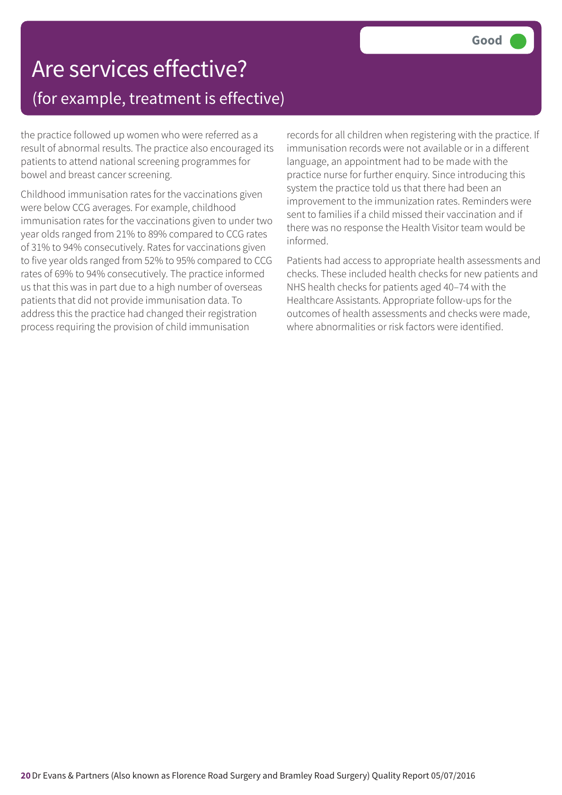### Are services effective? (for example, treatment is effective)

the practice followed up women who were referred as a result of abnormal results. The practice also encouraged its patients to attend national screening programmes for bowel and breast cancer screening.

Childhood immunisation rates for the vaccinations given were below CCG averages. For example, childhood immunisation rates for the vaccinations given to under two year olds ranged from 21% to 89% compared to CCG rates of 31% to 94% consecutively. Rates for vaccinations given to five year olds ranged from 52% to 95% compared to CCG rates of 69% to 94% consecutively. The practice informed us that this was in part due to a high number of overseas patients that did not provide immunisation data. To address this the practice had changed their registration process requiring the provision of child immunisation

records for all children when registering with the practice. If immunisation records were not available or in a different language, an appointment had to be made with the practice nurse for further enquiry. Since introducing this system the practice told us that there had been an improvement to the immunization rates. Reminders were sent to families if a child missed their vaccination and if there was no response the Health Visitor team would be informed.

Patients had access to appropriate health assessments and checks. These included health checks for new patients and NHS health checks for patients aged 40–74 with the Healthcare Assistants. Appropriate follow-ups for the outcomes of health assessments and checks were made, where abnormalities or risk factors were identified.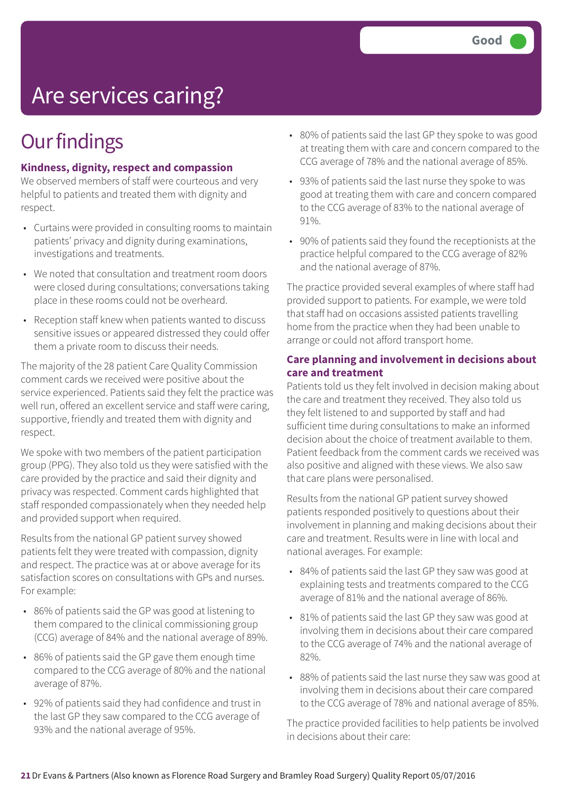## Are services caring?

### **Our findings**

#### **Kindness, dignity, respect and compassion**

We observed members of staff were courteous and very helpful to patients and treated them with dignity and respect.

- Curtains were provided in consulting rooms to maintain patients' privacy and dignity during examinations, investigations and treatments.
- We noted that consultation and treatment room doors were closed during consultations; conversations taking place in these rooms could not be overheard.
- Reception staff knew when patients wanted to discuss sensitive issues or appeared distressed they could offer them a private room to discuss their needs.

The majority of the 28 patient Care Quality Commission comment cards we received were positive about the service experienced. Patients said they felt the practice was well run, offered an excellent service and staff were caring, supportive, friendly and treated them with dignity and respect.

We spoke with two members of the patient participation group (PPG). They also told us they were satisfied with the care provided by the practice and said their dignity and privacy was respected. Comment cards highlighted that staff responded compassionately when they needed help and provided support when required.

Results from the national GP patient survey showed patients felt they were treated with compassion, dignity and respect. The practice was at or above average for its satisfaction scores on consultations with GPs and nurses. For example:

- 86% of patients said the GP was good at listening to them compared to the clinical commissioning group (CCG) average of 84% and the national average of 89%.
- 86% of patients said the GP gave them enough time compared to the CCG average of 80% and the national average of 87%.
- 92% of patients said they had confidence and trust in the last GP they saw compared to the CCG average of 93% and the national average of 95%.
- 80% of patients said the last GP they spoke to was good at treating them with care and concern compared to the CCG average of 78% and the national average of 85%.
- 93% of patients said the last nurse they spoke to was good at treating them with care and concern compared to the CCG average of 83% to the national average of 91%.
- 90% of patients said they found the receptionists at the practice helpful compared to the CCG average of 82% and the national average of 87%.

The practice provided several examples of where staff had provided support to patients. For example, we were told that staff had on occasions assisted patients travelling home from the practice when they had been unable to arrange or could not afford transport home.

#### **Care planning and involvement in decisions about care and treatment**

Patients told us they felt involved in decision making about the care and treatment they received. They also told us they felt listened to and supported by staff and had sufficient time during consultations to make an informed decision about the choice of treatment available to them. Patient feedback from the comment cards we received was also positive and aligned with these views. We also saw that care plans were personalised.

Results from the national GP patient survey showed patients responded positively to questions about their involvement in planning and making decisions about their care and treatment. Results were in line with local and national averages. For example:

- 84% of patients said the last GP they saw was good at explaining tests and treatments compared to the CCG average of 81% and the national average of 86%.
- 81% of patients said the last GP they saw was good at involving them in decisions about their care compared to the CCG average of 74% and the national average of 82%.
- 88% of patients said the last nurse they saw was good at involving them in decisions about their care compared to the CCG average of 78% and national average of 85%.

The practice provided facilities to help patients be involved in decisions about their care: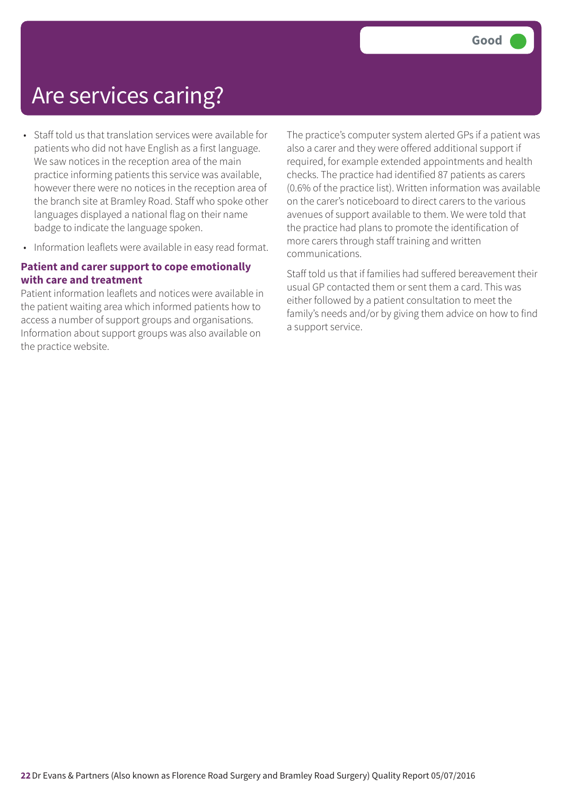### Are services caring?

- Staff told us that translation services were available for patients who did not have English as a first language. We saw notices in the reception area of the main practice informing patients this service was available, however there were no notices in the reception area of the branch site at Bramley Road. Staff who spoke other languages displayed a national flag on their name badge to indicate the language spoken.
- Information leaflets were available in easy read format.

#### **Patient and carer support to cope emotionally with care and treatment**

Patient information leaflets and notices were available in the patient waiting area which informed patients how to access a number of support groups and organisations. Information about support groups was also available on the practice website.

The practice's computer system alerted GPs if a patient was also a carer and they were offered additional support if required, for example extended appointments and health checks. The practice had identified 87 patients as carers (0.6% of the practice list). Written information was available on the carer's noticeboard to direct carers to the various avenues of support available to them. We were told that the practice had plans to promote the identification of more carers through staff training and written communications.

Staff told us that if families had suffered bereavement their usual GP contacted them or sent them a card. This was either followed by a patient consultation to meet the family's needs and/or by giving them advice on how to find a support service.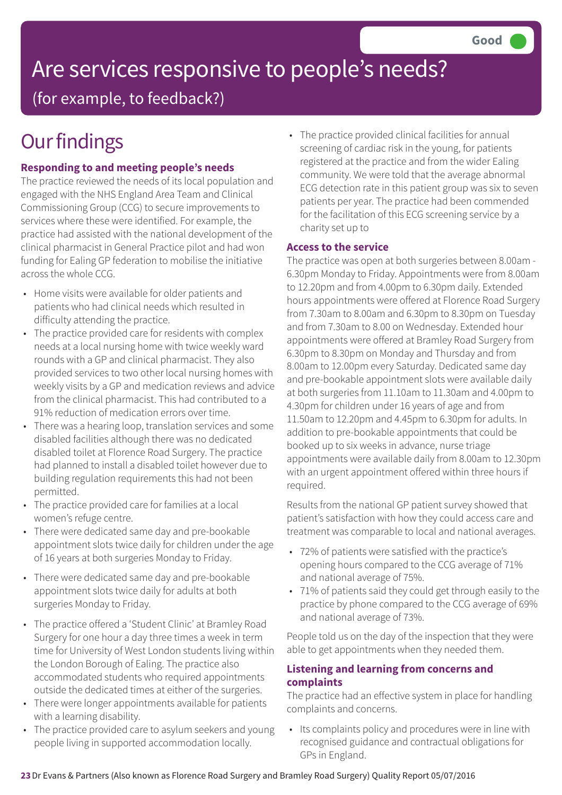## Are services responsive to people's needs?

(for example, to feedback?)

### **Our findings**

#### **Responding to and meeting people's needs**

The practice reviewed the needs of its local population and engaged with the NHS England Area Team and Clinical Commissioning Group (CCG) to secure improvements to services where these were identified. For example, the practice had assisted with the national development of the clinical pharmacist in General Practice pilot and had won funding for Ealing GP federation to mobilise the initiative across the whole CCG.

- Home visits were available for older patients and patients who had clinical needs which resulted in difficulty attending the practice.
- The practice provided care for residents with complex needs at a local nursing home with twice weekly ward rounds with a GP and clinical pharmacist. They also provided services to two other local nursing homes with weekly visits by a GP and medication reviews and advice from the clinical pharmacist. This had contributed to a 91% reduction of medication errors over time.
- There was a hearing loop, translation services and some disabled facilities although there was no dedicated disabled toilet at Florence Road Surgery. The practice had planned to install a disabled toilet however due to building regulation requirements this had not been permitted.
- The practice provided care for families at a local women's refuge centre.
- There were dedicated same day and pre-bookable appointment slots twice daily for children under the age of 16 years at both surgeries Monday to Friday.
- There were dedicated same day and pre-bookable appointment slots twice daily for adults at both surgeries Monday to Friday.
- The practice offered a 'Student Clinic' at Bramley Road Surgery for one hour a day three times a week in term time for University of West London students living within the London Borough of Ealing. The practice also accommodated students who required appointments outside the dedicated times at either of the surgeries.
- There were longer appointments available for patients with a learning disability.
- The practice provided care to asylum seekers and young people living in supported accommodation locally.

• The practice provided clinical facilities for annual screening of cardiac risk in the young, for patients registered at the practice and from the wider Ealing community. We were told that the average abnormal ECG detection rate in this patient group was six to seven patients per year. The practice had been commended for the facilitation of this ECG screening service by a charity set up to

#### **Access to the service**

The practice was open at both surgeries between 8.00am - 6.30pm Monday to Friday. Appointments were from 8.00am to 12.20pm and from 4.00pm to 6.30pm daily. Extended hours appointments were offered at Florence Road Surgery from 7.30am to 8.00am and 6.30pm to 8.30pm on Tuesday and from 7.30am to 8.00 on Wednesday. Extended hour appointments were offered at Bramley Road Surgery from 6.30pm to 8.30pm on Monday and Thursday and from 8.00am to 12.00pm every Saturday. Dedicated same day and pre-bookable appointment slots were available daily at both surgeries from 11.10am to 11.30am and 4.00pm to 4.30pm for children under 16 years of age and from 11.50am to 12.20pm and 4.45pm to 6.30pm for adults. In addition to pre-bookable appointments that could be booked up to six weeks in advance, nurse triage appointments were available daily from 8.00am to 12.30pm with an urgent appointment offered within three hours if required.

Results from the national GP patient survey showed that patient's satisfaction with how they could access care and treatment was comparable to local and national averages.

- 72% of patients were satisfied with the practice's opening hours compared to the CCG average of 71% and national average of 75%.
- 71% of patients said they could get through easily to the practice by phone compared to the CCG average of 69% and national average of 73%.

People told us on the day of the inspection that they were able to get appointments when they needed them.

#### **Listening and learning from concerns and complaints**

The practice had an effective system in place for handling complaints and concerns.

• Its complaints policy and procedures were in line with recognised guidance and contractual obligations for GPs in England.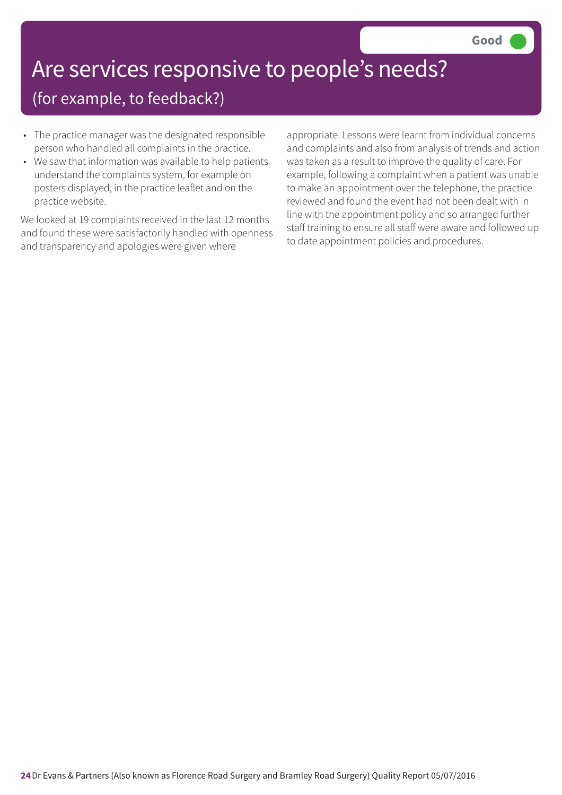## Are services responsive to people's needs?

(for example, to feedback?)

- The practice manager was the designated responsible person who handled all complaints in the practice.
- We saw that information was available to help patients understand the complaints system, for example on posters displayed, in the practice leaflet and on the practice website.

We looked at 19 complaints received in the last 12 months and found these were satisfactorily handled with openness and transparency and apologies were given where

appropriate. Lessons were learnt from individual concerns and complaints and also from analysis of trends and action was taken as a result to improve the quality of care. For example, following a complaint when a patient was unable to make an appointment over the telephone, the practice reviewed and found the event had not been dealt with in line with the appointment policy and so arranged further staff training to ensure all staff were aware and followed up to date appointment policies and procedures.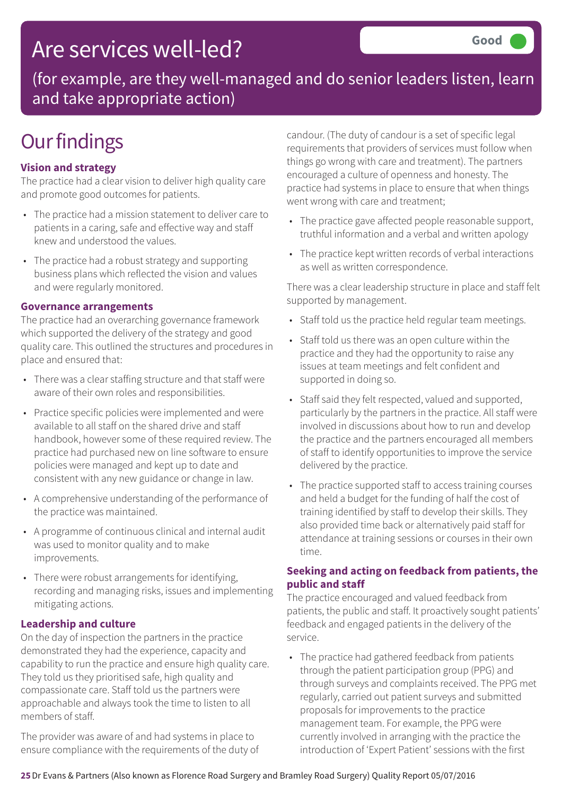### Are services well-led?

(for example, are they well-managed and do senior leaders listen, learn and take appropriate action)

### **Our findings**

#### **Vision and strategy**

The practice had a clear vision to deliver high quality care and promote good outcomes for patients.

- The practice had a mission statement to deliver care to patients in a caring, safe and effective way and staff knew and understood the values.
- The practice had a robust strategy and supporting business plans which reflected the vision and values and were regularly monitored.

#### **Governance arrangements**

The practice had an overarching governance framework which supported the delivery of the strategy and good quality care. This outlined the structures and procedures in place and ensured that:

- There was a clear staffing structure and that staff were aware of their own roles and responsibilities.
- Practice specific policies were implemented and were available to all staff on the shared drive and staff handbook, however some of these required review. The practice had purchased new on line software to ensure policies were managed and kept up to date and consistent with any new guidance or change in law.
- A comprehensive understanding of the performance of the practice was maintained.
- A programme of continuous clinical and internal audit was used to monitor quality and to make improvements.
- There were robust arrangements for identifying, recording and managing risks, issues and implementing mitigating actions.

#### **Leadership and culture**

On the day of inspection the partners in the practice demonstrated they had the experience, capacity and capability to run the practice and ensure high quality care. They told us they prioritised safe, high quality and compassionate care. Staff told us the partners were approachable and always took the time to listen to all members of staff.

The provider was aware of and had systems in place to ensure compliance with the requirements of the duty of candour. (The duty of candour is a set of specific legal requirements that providers of services must follow when things go wrong with care and treatment). The partners encouraged a culture of openness and honesty. The practice had systems in place to ensure that when things went wrong with care and treatment;

- The practice gave affected people reasonable support, truthful information and a verbal and written apology
- The practice kept written records of verbal interactions as well as written correspondence.

There was a clear leadership structure in place and staff felt supported by management.

- Staff told us the practice held regular team meetings.
- Staff told us there was an open culture within the practice and they had the opportunity to raise any issues at team meetings and felt confident and supported in doing so.
- Staff said they felt respected, valued and supported, particularly by the partners in the practice. All staff were involved in discussions about how to run and develop the practice and the partners encouraged all members of staff to identify opportunities to improve the service delivered by the practice.
- The practice supported staff to access training courses and held a budget for the funding of half the cost of training identified by staff to develop their skills. They also provided time back or alternatively paid staff for attendance at training sessions or courses in their own time.

#### **Seeking and acting on feedback from patients, the public and staff**

The practice encouraged and valued feedback from patients, the public and staff. It proactively sought patients' feedback and engaged patients in the delivery of the service.

• The practice had gathered feedback from patients through the patient participation group (PPG) and through surveys and complaints received. The PPG met regularly, carried out patient surveys and submitted proposals for improvements to the practice management team. For example, the PPG were currently involved in arranging with the practice the introduction of 'Expert Patient' sessions with the first

**25**Dr Evans & Partners (Also known as Florence Road Surgery and Bramley Road Surgery) Quality Report 05/07/2016